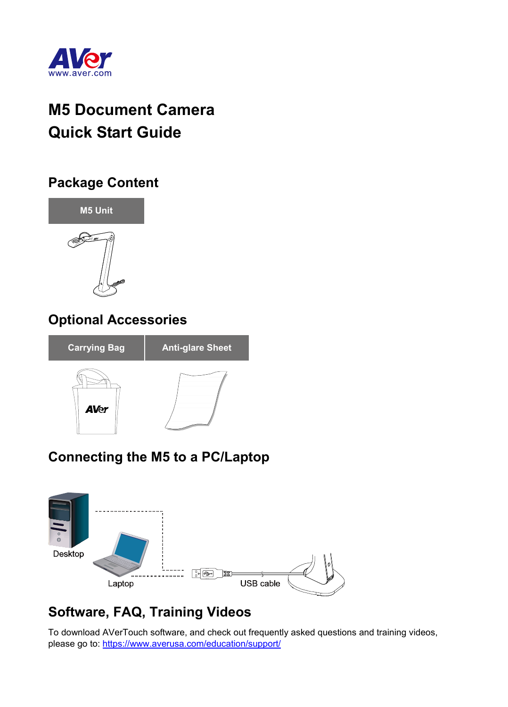

# **M5 Document Camera Quick Start Guide**

#### **Package Content**



#### **Optional Accessories**



# **Connecting the M5 to a PC/Laptop**



# **Software, FAQ, Training Videos**

To download AVerTouch software, and check out frequently asked questions and training videos, please go to[: https://www.averusa.com/education/support/](https://www.averusa.com/education/support/)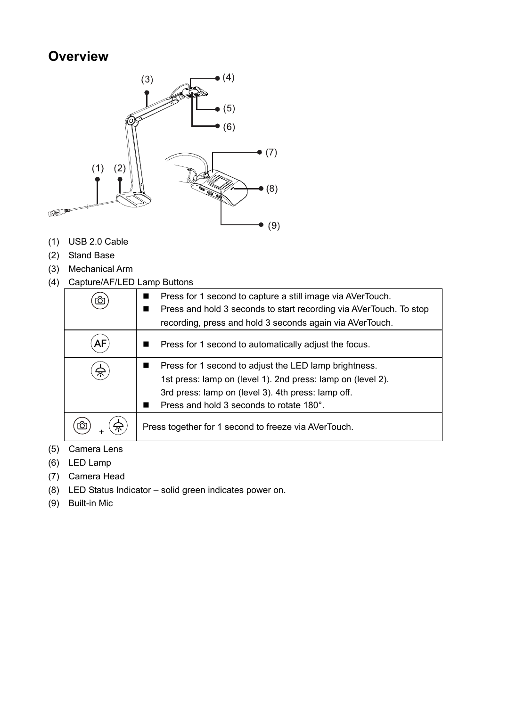#### **Overview**



- (1) USB 2.0 Cable
- (2) Stand Base
- (3) Mechanical Arm
- (4) Capture/AF/LED Lamp Buttons

| Ю | Press for 1 second to capture a still image via AVerTouch.<br>Press and hold 3 seconds to start recording via AVerTouch. To stop<br>recording, press and hold 3 seconds again via AVerTouch.                           |
|---|------------------------------------------------------------------------------------------------------------------------------------------------------------------------------------------------------------------------|
|   | Press for 1 second to automatically adjust the focus.                                                                                                                                                                  |
|   | Press for 1 second to adjust the LED lamp brightness.<br>1st press: lamp on (level 1). 2nd press: lamp on (level 2).<br>3rd press: lamp on (level 3). 4th press: lamp off.<br>Press and hold 3 seconds to rotate 180°. |
|   | Press together for 1 second to freeze via AVerTouch.                                                                                                                                                                   |

- (5) Camera Lens
- (6) LED Lamp
- (7) Camera Head
- (8) LED Status Indicator solid green indicates power on.
- (9) Built-in Mic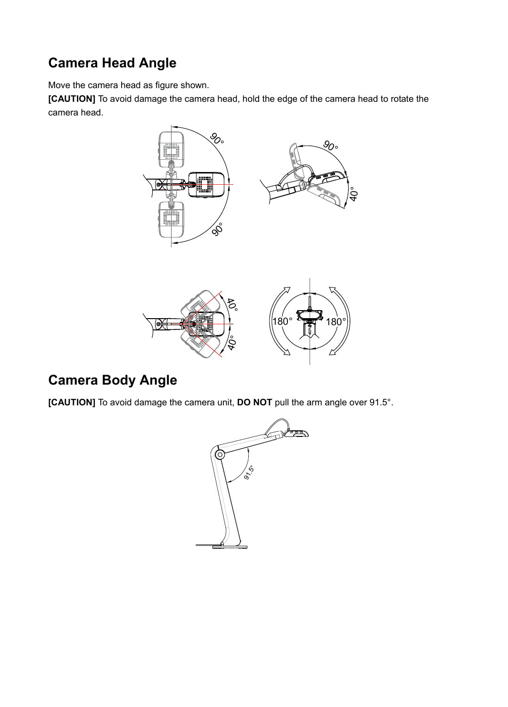# **Camera Head Angle**

Move the camera head as figure shown.

**[CAUTION]** To avoid damage the camera head, hold the edge of the camera head to rotate the camera head.





# **Camera Body Angle**

**[CAUTION]** To avoid damage the camera unit, **DO NOT** pull the arm angle over 91.5°.

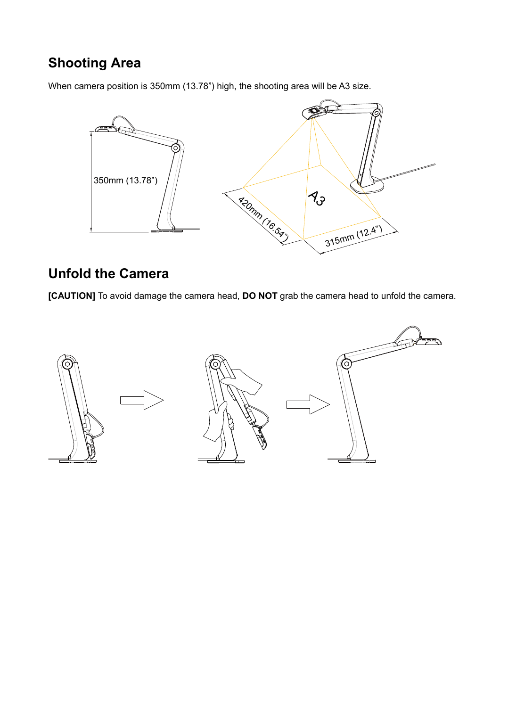#### **Shooting Area**

When camera position is 350mm (13.78") high, the shooting area will be A3 size.



#### **Unfold the Camera**

**[CAUTION]** To avoid damage the camera head, **DO NOT** grab the camera head to unfold the camera.

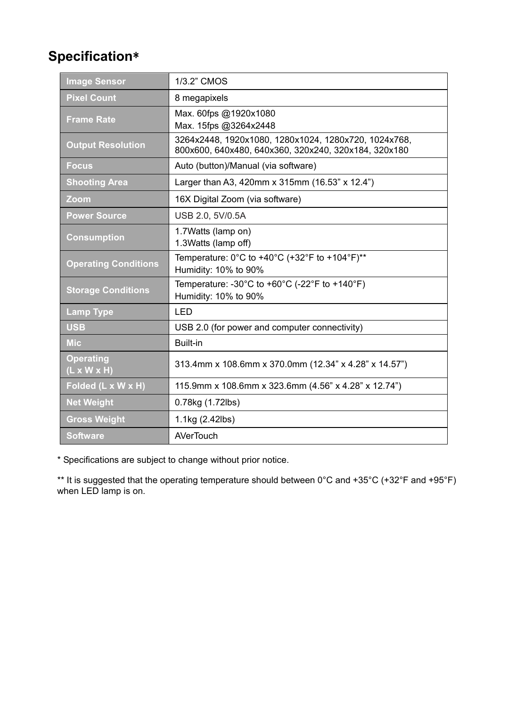#### **Specification**\*

| <b>Image Sensor</b>                         | 1/3.2" CMOS                                                                                                      |
|---------------------------------------------|------------------------------------------------------------------------------------------------------------------|
| <b>Pixel Count</b>                          | 8 megapixels                                                                                                     |
| <b>Frame Rate</b>                           | Max. 60fps @1920x1080<br>Max. 15fps @3264x2448                                                                   |
| <b>Output Resolution</b>                    | 3264x2448, 1920x1080, 1280x1024, 1280x720, 1024x768,<br>800x600, 640x480, 640x360, 320x240, 320x184, 320x180     |
| <b>Focus</b>                                | Auto (button)/Manual (via software)                                                                              |
| <b>Shooting Area</b>                        | Larger than A3, 420mm x 315mm (16.53" x 12.4")                                                                   |
| Zoom                                        | 16X Digital Zoom (via software)                                                                                  |
| <b>Power Source</b>                         | USB 2.0, 5V/0.5A                                                                                                 |
| <b>Consumption</b>                          | 1.7Watts (lamp on)<br>1.3Watts (lamp off)                                                                        |
| <b>Operating Conditions</b>                 | Temperature: $0^{\circ}$ C to +40 $^{\circ}$ C (+32 $^{\circ}$ F to +104 $^{\circ}$ F)**<br>Humidity: 10% to 90% |
| <b>Storage Conditions</b>                   | Temperature: -30°C to +60°C (-22°F to +140°F)<br>Humidity: 10% to 90%                                            |
| <b>Lamp Type</b>                            | LED                                                                                                              |
| <b>USB</b>                                  | USB 2.0 (for power and computer connectivity)                                                                    |
| <b>Mic</b>                                  | Built-in                                                                                                         |
| <b>Operating</b><br>$(L \times W \times H)$ | 313.4mm x 108.6mm x 370.0mm (12.34" x 4.28" x 14.57")                                                            |
| Folded (L x W x H)                          | 115.9mm x 108.6mm x 323.6mm (4.56" x 4.28" x 12.74")                                                             |
| <b>Net Weight</b>                           | 0.78kg (1.72lbs)                                                                                                 |
| <b>Gross Weight</b>                         | 1.1kg (2.42lbs)                                                                                                  |
| <b>Software</b>                             | <b>AVerTouch</b>                                                                                                 |

\* Specifications are subject to change without prior notice.

\*\* It is suggested that the operating temperature should between 0°C and +35°C (+32°F and +95°F) when LED lamp is on.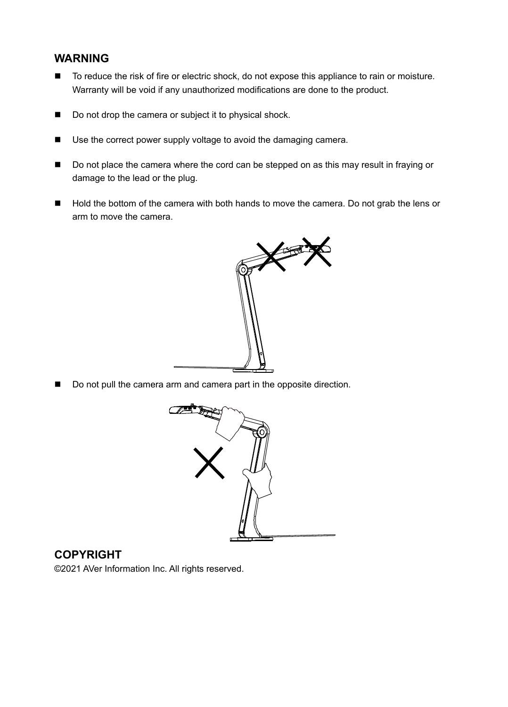#### **WARNING**

- To reduce the risk of fire or electric shock, do not expose this appliance to rain or moisture. Warranty will be void if any unauthorized modifications are done to the product.
- Do not drop the camera or subject it to physical shock.
- Use the correct power supply voltage to avoid the damaging camera.
- Do not place the camera where the cord can be stepped on as this may result in fraying or damage to the lead or the plug.
- Hold the bottom of the camera with both hands to move the camera. Do not grab the lens or arm to move the camera.



Do not pull the camera arm and camera part in the opposite direction.



#### **COPYRIGHT**

©2021 AVer Information Inc. All rights reserved.